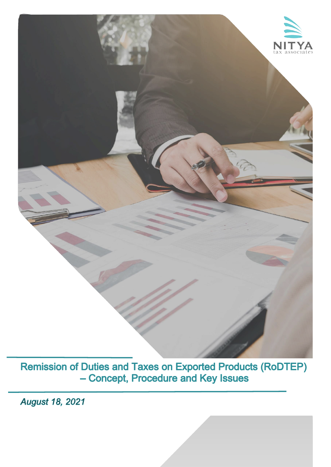

**Remission of Duties and Taxes on Exported Products (RoDTEP)** - Concept, Procedure and Key Issues

**August 18, 2021**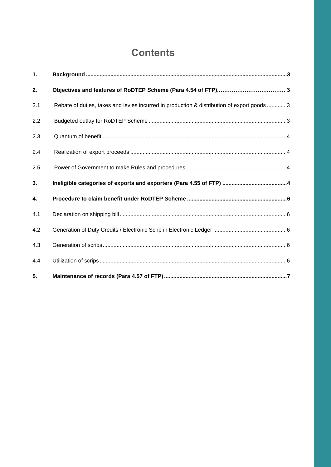# **Contents**

| 1.  |                                                                                             |  |
|-----|---------------------------------------------------------------------------------------------|--|
| 2.  |                                                                                             |  |
| 2.1 | Rebate of duties, taxes and levies incurred in production & distribution of export goods  3 |  |
| 2.2 |                                                                                             |  |
| 2.3 |                                                                                             |  |
| 2.4 |                                                                                             |  |
| 2.5 |                                                                                             |  |
|     |                                                                                             |  |
| 3.  |                                                                                             |  |
| 4.  |                                                                                             |  |
| 4.1 |                                                                                             |  |
| 4.2 |                                                                                             |  |
| 4.3 |                                                                                             |  |
| 4.4 |                                                                                             |  |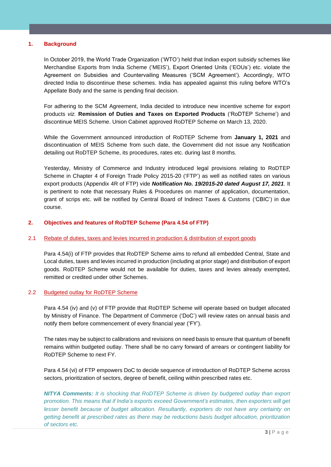## **1. Background**

In October 2019, the World Trade Organization ('WTO') held that Indian export subsidy schemes like Merchandise Exports from India Scheme ('MEIS'), Export Oriented Units ('EOUs') etc. violate the Agreement on Subsidies and Countervailing Measures ('SCM Agreement'). Accordingly, WTO directed India to discontinue these schemes. India has appealed against this ruling before WTO's Appellate Body and the same is pending final decision.

For adhering to the SCM Agreement, India decided to introduce new incentive scheme for export products *viz.* **Remission of Duties and Taxes on Exported Products** ('RoDTEP Scheme') and discontinue MEIS Scheme. Union Cabinet approved RoDTEP Scheme on March 13, 2020.

While the Government announced introduction of RoDTEP Scheme from **January 1, 2021** and discontinuation of MEIS Scheme from such date, the Government did not issue any Notification detailing out RoDTEP Scheme, its procedures, rates etc. during last 8 months.

Yesterday, Ministry of Commerce and Industry introduced legal provisions relating to RoDTEP Scheme in Chapter 4 of Foreign Trade Policy 2015-20 ('FTP') as well as notified rates on various export products (Appendix 4R of FTP) vide *Notification No. 19/2015-20 dated August 17, 2021*. It is pertinent to note that necessary Rules & Procedures on manner of application, documentation, grant of scrips etc. will be notified by Central Board of Indirect Taxes & Customs ('CBIC') in due course.

## **2. Objectives and features of RoDTEP Scheme (Para 4.54 of FTP)**

## 2.1 Rebate of duties, taxes and levies incurred in production & distribution of export goods

Para 4.54(i) of FTP provides that RoDTEP Scheme aims to refund all embedded Central, State and Local duties, taxes and levies incurred in production (including at prior stage) and distribution of export goods. RoDTEP Scheme would not be available for duties, taxes and levies already exempted, remitted or credited under other Schemes.

## 2.2 Budgeted outlay for RoDTEP Scheme

Para 4.54 (iv) and (v) of FTP provide that RoDTEP Scheme will operate based on budget allocated by Ministry of Finance. The Department of Commerce ('DoC') will review rates on annual basis and notify them before commencement of every financial year ('FY').

The rates may be subject to calibrations and revisions on need basis to ensure that quantum of benefit remains within budgeted outlay. There shall be no carry forward of arrears or contingent liability for RoDTEP Scheme to next FY.

Para 4.54 (vi) of FTP empowers DoC to decide sequence of introduction of RoDTEP Scheme across sectors, prioritization of sectors, degree of benefit, ceiling within prescribed rates etc.

*NITYA Comments: It is shocking that RoDTEP Scheme is driven by budgeted outlay than export promotion. This means that if India's exports exceed Government's estimates, then exporters will get lesser benefit because of budget allocation. Resultantly, exporters do not have any certainty on getting benefit at prescribed rates as there may be reductions basis budget allocation, prioritization of sectors etc.*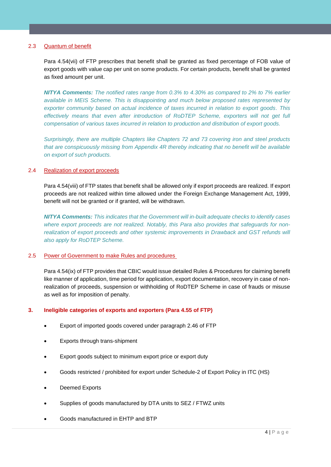## 2.3 Quantum of benefit

Para 4.54(vii) of FTP prescribes that benefit shall be granted as fixed percentage of FOB value of export goods with value cap per unit on some products. For certain products, benefit shall be granted as fixed amount per unit.

*NITYA Comments: The notified rates range from 0.3% to 4.30% as compared to 2% to 7% earlier available in MEIS Scheme. This is disappointing and much below proposed rates represented by exporter community based on actual incidence of taxes incurred in relation to export goods. This*  effectively means that even after introduction of RoDTEP Scheme, exporters will not get full *compensation of various taxes incurred in relation to production and distribution of export goods.*

*Surprisingly, there are multiple Chapters like Chapters 72 and 73 covering iron and steel products that are conspicuously missing from Appendix 4R thereby indicating that no benefit will be available on export of such products.* 

## 2.4 Realization of export proceeds

Para 4.54(viii) of FTP states that benefit shall be allowed only if export proceeds are realized. If export proceeds are not realized within time allowed under the Foreign Exchange Management Act, 1999, benefit will not be granted or if granted, will be withdrawn.

*NITYA Comments: This indicates that the Government will in-built adequate checks to identify cases where export proceeds are not realized. Notably, this Para also provides that safeguards for non*realization of export proceeds and other systemic improvements in Drawback and GST refunds will *also apply for RoDTEP Scheme.* 

## 2.5 Power of Government to make Rules and procedures

Para 4.54(ix) of FTP provides that CBIC would issue detailed Rules & Procedures for claiming benefit like manner of application, time period for application, export documentation, recovery in case of nonrealization of proceeds, suspension or withholding of RoDTEP Scheme in case of frauds or misuse as well as for imposition of penalty.

## **3. Ineligible categories of exports and exporters (Para 4.55 of FTP)**

- Export of imported goods covered under paragraph 2.46 of FTP
- Exports through trans-shipment
- Export goods subject to minimum export price or export duty
- Goods restricted / prohibited for export under Schedule-2 of Export Policy in ITC (HS)
- Deemed Exports
- Supplies of goods manufactured by DTA units to SEZ / FTWZ units
- Goods manufactured in EHTP and BTP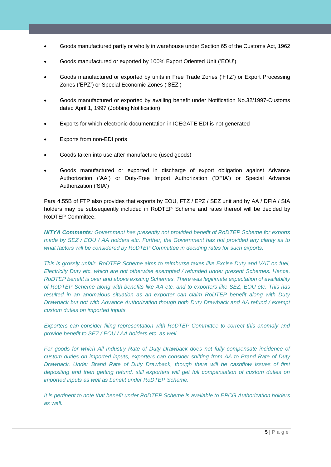- Goods manufactured partly or wholly in warehouse under Section 65 of the Customs Act, 1962
- Goods manufactured or exported by 100% Export Oriented Unit ('EOU')
- Goods manufactured or exported by units in Free Trade Zones ('FTZ') or Export Processing Zones ('EPZ') or Special Economic Zones ('SEZ')
- Goods manufactured or exported by availing benefit under Notification No.32/1997-Customs dated April 1, 1997 (Jobbing Notification)
- Exports for which electronic documentation in ICEGATE EDI is not generated
- Exports from non-EDI ports
- Goods taken into use after manufacture (used goods)
- Goods manufactured or exported in discharge of export obligation against Advance Authorization ('AA') or Duty-Free Import Authorization ('DFIA') or Special Advance Authorization ('SIA')

Para 4.55B of FTP also provides that exports by EOU, FTZ / EPZ / SEZ unit and by AA / DFIA / SIA holders may be subsequently included in RoDTEP Scheme and rates thereof will be decided by RoDTEP Committee.

*NITYA Comments: Government has presently not provided benefit of RoDTEP Scheme for exports made by SEZ / EOU / AA holders etc. Further, the Government has not provided any clarity as to what factors will be considered by RoDTEP Committee in deciding rates for such exports.*

*This is grossly unfair. RoDTEP Scheme aims to reimburse taxes like Excise Duty and VAT on fuel, Electricity Duty etc. which are not otherwise exempted / refunded under present Schemes. Hence, RoDTEP benefit is over and above existing Schemes. There was legitimate expectation of availability of RoDTEP Scheme along with benefits like AA etc. and to exporters like SEZ, EOU etc. This has resulted in an anomalous situation as an exporter can claim RoDTEP benefit along with Duty Drawback but not with Advance Authorization though both Duty Drawback and AA refund / exempt custom duties on imported inputs.*

*Exporters can consider filing representation with RoDTEP Committee to correct this anomaly and provide benefit to SEZ / EOU / AA holders etc. as well.* 

*For goods for which All Industry Rate of Duty Drawback does not fully compensate incidence of custom duties on imported inputs, exporters can consider shifting from AA to Brand Rate of Duty Drawback. Under Brand Rate of Duty Drawback, though there will be cashflow issues of first depositing and then getting refund, still exporters will get full compensation of custom duties on imported inputs as well as benefit under RoDTEP Scheme.* 

*It is pertinent to note that benefit under RoDTEP Scheme is available to EPCG Authorization holders as well.*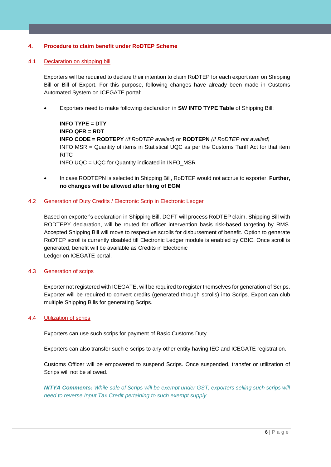## **4. Procedure to claim benefit under RoDTEP Scheme**

## 4.1 Declaration on shipping bill

Exporters will be required to declare their intention to claim RoDTEP for each export item on Shipping Bill or Bill of Export. For this purpose, following changes have already been made in Customs Automated System on ICEGATE portal:

• Exporters need to make following declaration in **SW INTO TYPE Table** of Shipping Bill:

```
INFO TYPE = DTY
INFO QFR = RDT
INFO CODE = RODTEPY (if RoDTEP availed) or RODTEPN (if RoDTEP not availed)
INFO MSR = Quantity of items in Statistical UQC as per the Customs Tariff Act for that item 
RITC
INFO UQC = UQC for Quantity indicated in INFO_MSR
```
• In case RODTEPN is selected in Shipping Bill, RoDTEP would not accrue to exporter. **Further, no changes will be allowed after filing of EGM**

## 4.2 Generation of Duty Credits / Electronic Scrip in Electronic Ledger

Based on exporter's declaration in Shipping Bill, DGFT will process RoDTEP claim. Shipping Bill with RODTEPY declaration, will be routed for officer intervention basis risk-based targeting by RMS. Accepted Shipping Bill will move to respective scrolls for disbursement of benefit. Option to generate RoDTEP scroll is currently disabled till Electronic Ledger module is enabled by CBIC. Once scroll is generated, benefit will be available as Credits in Electronic Ledger on ICEGATE portal.

## 4.3 Generation of scrips

Exporter not registered with ICEGATE, will be required to register themselves for generation of Scrips. Exporter will be required to convert credits (generated through scrolls) into Scrips. Export can club multiple Shipping Bills for generating Scrips.

## 4.4 Utilization of scrips

Exporters can use such scrips for payment of Basic Customs Duty.

Exporters can also transfer such e-scrips to any other entity having IEC and ICEGATE registration.

Customs Officer will be empowered to suspend Scrips. Once suspended, transfer or utilization of Scrips will not be allowed.

*NITYA Comments: While sale of Scrips will be exempt under GST, exporters selling such scrips will need to reverse Input Tax Credit pertaining to such exempt supply.*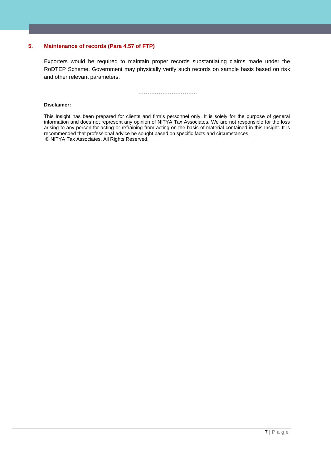## **5. Maintenance of records (Para 4.57 of FTP)**

Exporters would be required to maintain proper records substantiating claims made under the RoDTEP Scheme. Government may physically verify such records on sample basis based on risk and other relevant parameters.

**…………………………..**

#### **Disclaimer:**

This Insight has been prepared for clients and firm's personnel only. It is solely for the purpose of general information and does not represent any opinion of NITYA Tax Associates. We are not responsible for the loss arising to any person for acting or refraining from acting on the basis of material contained in this Insight. It is recommended that professional advice be sought based on specific facts and circumstances. © NITYA Tax Associates. All Rights Reserved.